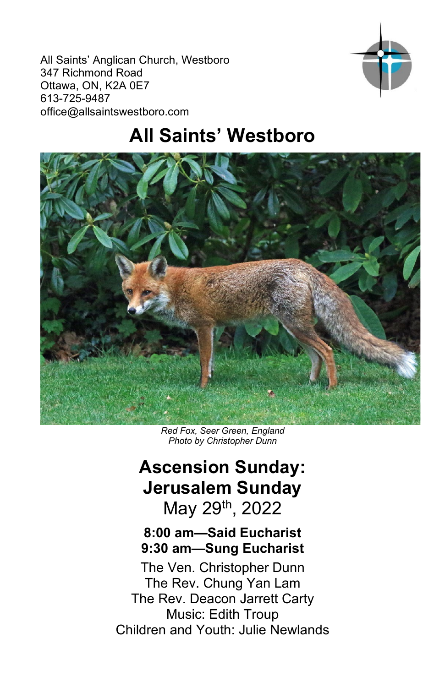All Saints' Anglican Church, Westboro 347 Richmond Road Ottawa, ON, K2A 0E7 613-725-9487 office@allsaintswestboro.com



# **All Saints' Westboro**



*Red Fox, Seer Green, England Photo by Christopher Dunn*

# **Ascension Sunday: Jerusalem Sunday** May 29th, 2022

# **8:00 am—Said Eucharist 9:30 am—Sung Eucharist**

The Ven. Christopher Dunn The Rev. Chung Yan Lam The Rev. Deacon Jarrett Carty Music: Edith Troup Children and Youth: Julie Newlands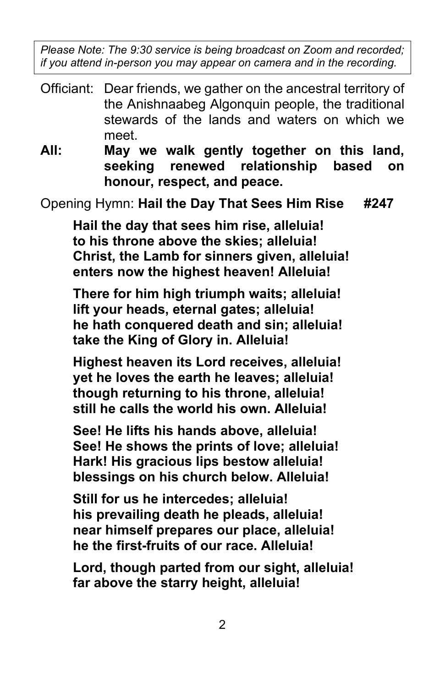*Please Note: The 9:30 service is being broadcast on Zoom and recorded; if you attend in-person you may appear on camera and in the recording.*

- Officiant: Dear friends, we gather on the ancestral territory of the Anishnaabeg Algonquin people, the traditional stewards of the lands and waters on which we meet.
- **All: May we walk gently together on this land, seeking renewed relationship based on honour, respect, and peace.**

Opening Hymn: **Hail the Day That Sees Him Rise #247**

**Hail the day that sees him rise, alleluia! to his throne above the skies; alleluia! Christ, the Lamb for sinners given, alleluia! enters now the highest heaven! Alleluia!**

**There for him high triumph waits; alleluia! lift your heads, eternal gates; alleluia! he hath conquered death and sin; alleluia! take the King of Glory in. Alleluia!**

**Highest heaven its Lord receives, alleluia! yet he loves the earth he leaves; alleluia! though returning to his throne, alleluia! still he calls the world his own. Alleluia!**

**See! He lifts his hands above, alleluia! See! He shows the prints of love; alleluia! Hark! His gracious lips bestow alleluia! blessings on his church below. Alleluia!**

**Still for us he intercedes; alleluia! his prevailing death he pleads, alleluia! near himself prepares our place, alleluia! he the first-fruits of our race. Alleluia!**

**Lord, though parted from our sight, alleluia! far above the starry height, alleluia!**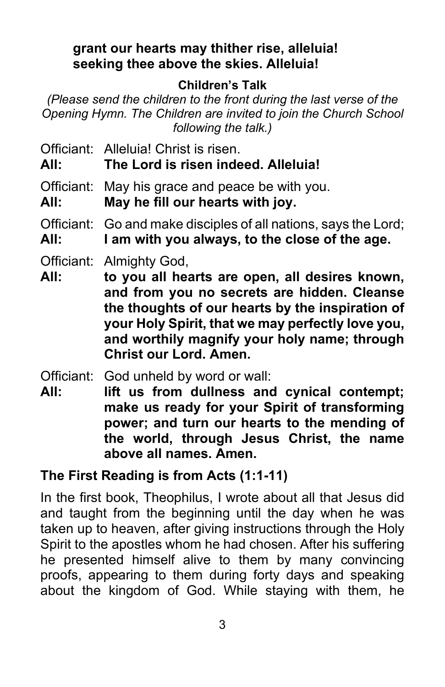## **grant our hearts may thither rise, alleluia! seeking thee above the skies. Alleluia!**

# **Children's Talk**

*(Please send the children to the front during the last verse of the Opening Hymn. The Children are invited to join the Church School following the talk.)*

Officiant: Alleluia! Christ is risen.

**All: The Lord is risen indeed. Alleluia!**

Officiant: May his grace and peace be with you.

**All: May he fill our hearts with joy.**

Officiant: Go and make disciples of all nations, says the Lord;

**All: I am with you always, to the close of the age.**

- Officiant: Almighty God,
- **All: to you all hearts are open, all desires known, and from you no secrets are hidden. Cleanse the thoughts of our hearts by the inspiration of your Holy Spirit, that we may perfectly love you, and worthily magnify your holy name; through Christ our Lord. Amen.**

Officiant: God unheld by word or wall:

**All: lift us from dullness and cynical contempt; make us ready for your Spirit of transforming power; and turn our hearts to the mending of the world, through Jesus Christ, the name above all names. Amen.**

# **The First Reading is from Acts (1:1-11)**

In the first book, Theophilus, I wrote about all that Jesus did and taught from the beginning until the day when he was taken up to heaven, after giving instructions through the Holy Spirit to the apostles whom he had chosen. After his suffering he presented himself alive to them by many convincing proofs, appearing to them during forty days and speaking about the kingdom of God. While staying with them, he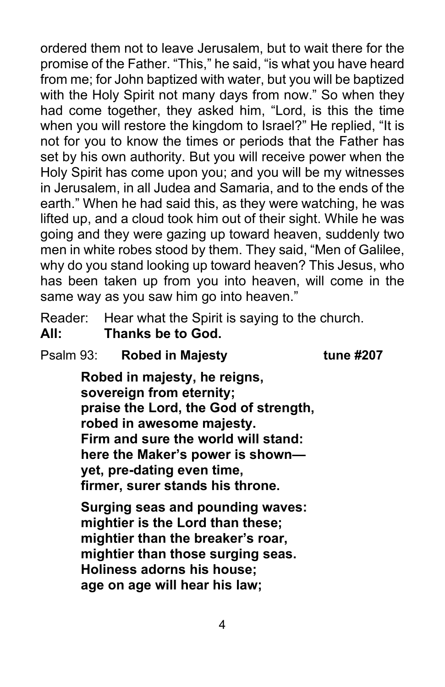ordered them not to leave Jerusalem, but to wait there for the promise of the Father. "This," he said, "is what you have heard from me; for John baptized with water, but you will be baptized with the Holy Spirit not many days from now." So when they had come together, they asked him, "Lord, is this the time when you will restore the kingdom to Israel?" He replied, "It is not for you to know the times or periods that the Father has set by his own authority. But you will receive power when the Holy Spirit has come upon you; and you will be my witnesses in Jerusalem, in all Judea and Samaria, and to the ends of the earth." When he had said this, as they were watching, he was lifted up, and a cloud took him out of their sight. While he was going and they were gazing up toward heaven, suddenly two men in white robes stood by them. They said, "Men of Galilee, why do you stand looking up toward heaven? This Jesus, who has been taken up from you into heaven, will come in the same way as you saw him go into heaven."

Reader: Hear what the Spirit is saying to the church. **All: Thanks be to God.**

Psalm 93: **Robed in Majesty tune #207**

**Robed in majesty, he reigns, sovereign from eternity; praise the Lord, the God of strength, robed in awesome majesty. Firm and sure the world will stand: here the Maker's power is shown yet, pre-dating even time, firmer, surer stands his throne.**

**Surging seas and pounding waves: mightier is the Lord than these; mightier than the breaker's roar, mightier than those surging seas. Holiness adorns his house; age on age will hear his law;**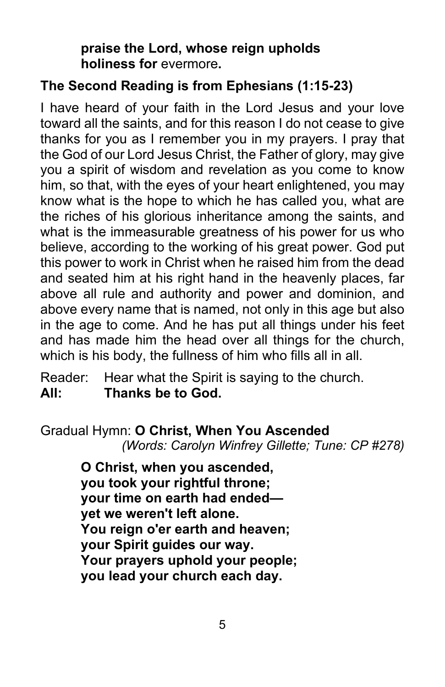**praise the Lord, whose reign upholds holiness for** evermore**.**

# **The Second Reading is from Ephesians (1:15-23)**

I have heard of your faith in the Lord Jesus and your love toward all the saints, and for this reason I do not cease to give thanks for you as I remember you in my prayers. I pray that the God of our Lord Jesus Christ, the Father of glory, may give you a spirit of wisdom and revelation as you come to know him, so that, with the eyes of your heart enlightened, you may know what is the hope to which he has called you, what are the riches of his glorious inheritance among the saints, and what is the immeasurable greatness of his power for us who believe, according to the working of his great power. God put this power to work in Christ when he raised him from the dead and seated him at his right hand in the heavenly places, far above all rule and authority and power and dominion, and above every name that is named, not only in this age but also in the age to come. And he has put all things under his feet and has made him the head over all things for the church, which is his body, the fullness of him who fills all in all.

Reader: Hear what the Spirit is saying to the church. **All: Thanks be to God.**

#### Gradual Hymn: **O Christ, When You Ascended**

*(Words: Carolyn Winfrey Gillette; Tune: CP #278)*

**O Christ, when you ascended, you took your rightful throne; your time on earth had ended yet we weren't left alone. You reign o'er earth and heaven; your Spirit guides our way. Your prayers uphold your people; you lead your church each day.**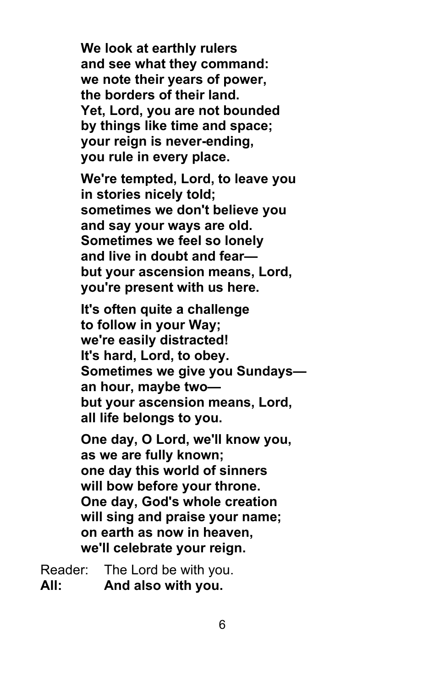**We look at earthly rulers and see what they command: we note their years of power, the borders of their land. Yet, Lord, you are not bounded by things like time and space; your reign is never-ending, you rule in every place.**

**We're tempted, Lord, to leave you in stories nicely told; sometimes we don't believe you and say your ways are old. Sometimes we feel so lonely and live in doubt and fear but your ascension means, Lord, you're present with us here.**

**It's often quite a challenge to follow in your Way; we're easily distracted! It's hard, Lord, to obey. Sometimes we give you Sundays an hour, maybe two but your ascension means, Lord, all life belongs to you.**

**One day, O Lord, we'll know you, as we are fully known; one day this world of sinners will bow before your throne. One day, God's whole creation will sing and praise your name; on earth as now in heaven, we'll celebrate your reign.**

Reader: The Lord be with you. **All: And also with you.**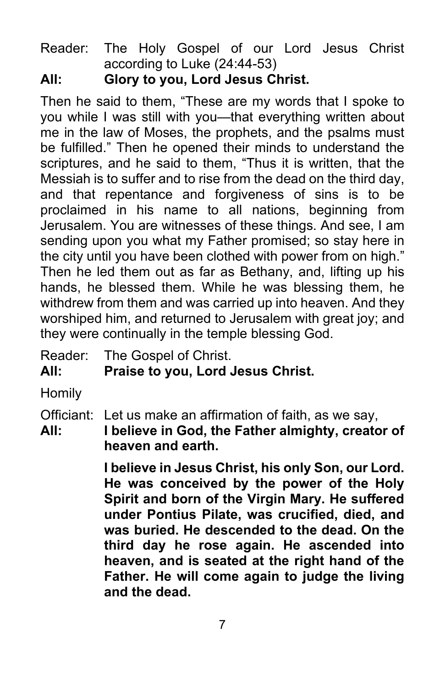Reader: The Holy Gospel of our Lord Jesus Christ according to Luke (24:44-53)

# **All: Glory to you, Lord Jesus Christ.**

Then he said to them, "These are my words that I spoke to you while I was still with you—that everything written about me in the law of Moses, the prophets, and the psalms must be fulfilled." Then he opened their minds to understand the scriptures, and he said to them, "Thus it is written, that the Messiah is to suffer and to rise from the dead on the third day, and that repentance and forgiveness of sins is to be proclaimed in his name to all nations, beginning from Jerusalem. You are witnesses of these things. And see, I am sending upon you what my Father promised; so stay here in the city until you have been clothed with power from on high." Then he led them out as far as Bethany, and, lifting up his hands, he blessed them. While he was blessing them, he withdrew from them and was carried up into heaven. And they worshiped him, and returned to Jerusalem with great joy; and they were continually in the temple blessing God.

Reader: The Gospel of Christ.

**All: Praise to you, Lord Jesus Christ.**

**Homily** 

Officiant: Let us make an affirmation of faith, as we say,

**All: I believe in God, the Father almighty, creator of heaven and earth.** 

> **I believe in Jesus Christ, his only Son, our Lord. He was conceived by the power of the Holy Spirit and born of the Virgin Mary. He suffered under Pontius Pilate, was crucified, died, and was buried. He descended to the dead. On the third day he rose again. He ascended into heaven, and is seated at the right hand of the Father. He will come again to judge the living and the dead.**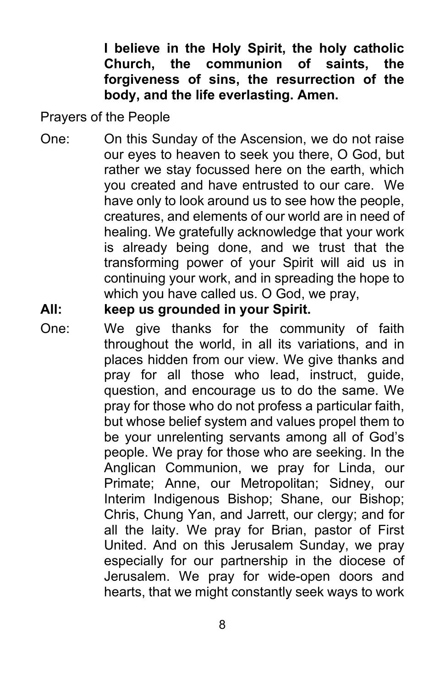**I believe in the Holy Spirit, the holy catholic Church, the communion of saints, the forgiveness of sins, the resurrection of the body, and the life everlasting. Amen.**

Prayers of the People

One: On this Sunday of the Ascension, we do not raise our eyes to heaven to seek you there, O God, but rather we stay focussed here on the earth, which you created and have entrusted to our care. We have only to look around us to see how the people, creatures, and elements of our world are in need of healing. We gratefully acknowledge that your work is already being done, and we trust that the transforming power of your Spirit will aid us in continuing your work, and in spreading the hope to which you have called us. O God, we pray,

# **All: keep us grounded in your Spirit.**

One: We give thanks for the community of faith throughout the world, in all its variations, and in places hidden from our view. We give thanks and pray for all those who lead, instruct, guide, question, and encourage us to do the same. We pray for those who do not profess a particular faith, but whose belief system and values propel them to be your unrelenting servants among all of God's people. We pray for those who are seeking. In the Anglican Communion, we pray for Linda, our Primate; Anne, our Metropolitan; Sidney, our Interim Indigenous Bishop; Shane, our Bishop; Chris, Chung Yan, and Jarrett, our clergy; and for all the laity. We pray for Brian, pastor of First United. And on this Jerusalem Sunday, we pray especially for our partnership in the diocese of Jerusalem. We pray for wide-open doors and hearts, that we might constantly seek ways to work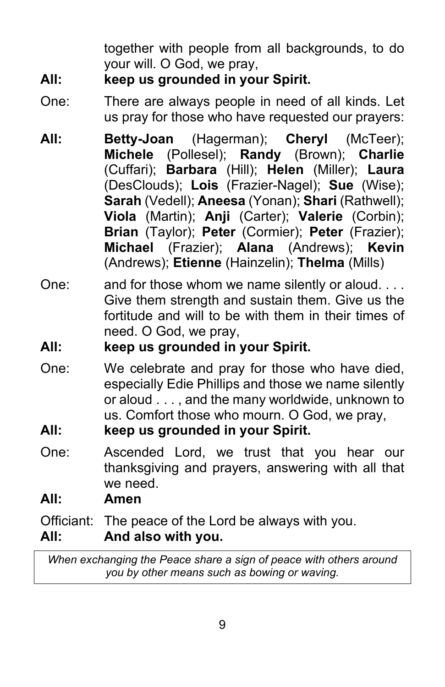together with people from all backgrounds, to do your will. O God, we pray,

# **All: keep us grounded in your Spirit.**

- One: There are always people in need of all kinds. Let us pray for those who have requested our prayers:
- **All: Betty-Joan** (Hagerman); **Cheryl** (McTeer); **Michele** (Pollesel); **Randy** (Brown); **Charlie**  (Cuffari); **Barbara** (Hill); **Helen** (Miller); **Laura** (DesClouds); **Lois** (Frazier-Nagel); **Sue** (Wise); **Sarah** (Vedell); **Aneesa** (Yonan); **Shari** (Rathwell); **Viola** (Martin); **Anji** (Carter); **Valerie** (Corbin); **Brian** (Taylor); **Peter** (Cormier); **Peter** (Frazier); **Michael** (Frazier); **Alana** (Andrews); **Kevin** (Andrews); **Etienne** (Hainzelin); **Thelma** (Mills)
- One: and for those whom we name silently or aloud. . . . Give them strength and sustain them. Give us the fortitude and will to be with them in their times of need. O God, we pray,

# **All: keep us grounded in your Spirit.**

- One: We celebrate and pray for those who have died, especially Edie Phillips and those we name silently or aloud . . . , and the many worldwide, unknown to us. Comfort those who mourn. O God, we pray,
- **All: keep us grounded in your Spirit.**
- One: Ascended Lord, we trust that you hear our thanksgiving and prayers, answering with all that we need.

# **All: Amen**

Officiant: The peace of the Lord be always with you.

# **All: And also with you.**

*When exchanging the Peace share a sign of peace with others around you by other means such as bowing or waving.*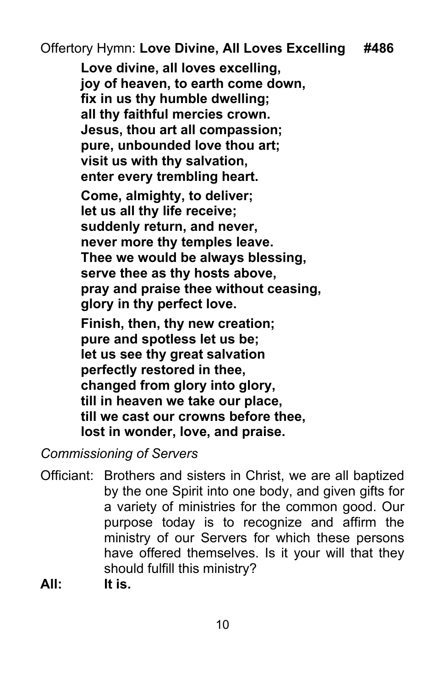Offertory Hymn: **Love Divine, All Loves Excelling #486**

**Love divine, all loves excelling, joy of heaven, to earth come down, fix in us thy humble dwelling; all thy faithful mercies crown. Jesus, thou art all compassion; pure, unbounded love thou art; visit us with thy salvation, enter every trembling heart. Come, almighty, to deliver; let us all thy life receive; suddenly return, and never, never more thy temples leave. Thee we would be always blessing, serve thee as thy hosts above, pray and praise thee without ceasing, glory in thy perfect love. Finish, then, thy new creation; pure and spotless let us be; let us see thy great salvation perfectly restored in thee, changed from glory into glory, till in heaven we take our place, till we cast our crowns before thee, lost in wonder, love, and praise.**

*Commissioning of Servers*

- Officiant: Brothers and sisters in Christ, we are all baptized by the one Spirit into one body, and given gifts for a variety of ministries for the common good. Our purpose today is to recognize and affirm the ministry of our Servers for which these persons have offered themselves. Is it your will that they should fulfill this ministry?
- **All: It is.**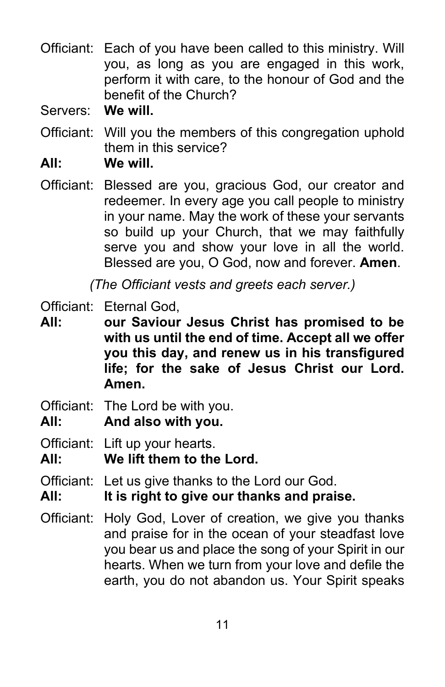- Officiant: Each of you have been called to this ministry. Will you, as long as you are engaged in this work, perform it with care, to the honour of God and the benefit of the Church?
- Servers: **We will.**
- Officiant: Will you the members of this congregation uphold them in this service?
- **All: We will.**
- Officiant: Blessed are you, gracious God, our creator and redeemer. In every age you call people to ministry in your name. May the work of these your servants so build up your Church, that we may faithfully serve you and show your love in all the world. Blessed are you, O God, now and forever. **Amen**.

*(The Officiant vests and greets each server.)*

- Officiant: Eternal God,
- **All: our Saviour Jesus Christ has promised to be with us until the end of time. Accept all we offer you this day, and renew us in his transfigured life; for the sake of Jesus Christ our Lord. Amen.**
- Officiant: The Lord be with you.
- **All: And also with you.**

Officiant: Lift up your hearts.

- **All: We lift them to the Lord.**
- Officiant: Let us give thanks to the Lord our God.
- **All: It is right to give our thanks and praise.**
- Officiant: Holy God, Lover of creation, we give you thanks and praise for in the ocean of your steadfast love you bear us and place the song of your Spirit in our hearts. When we turn from your love and defile the earth, you do not abandon us. Your Spirit speaks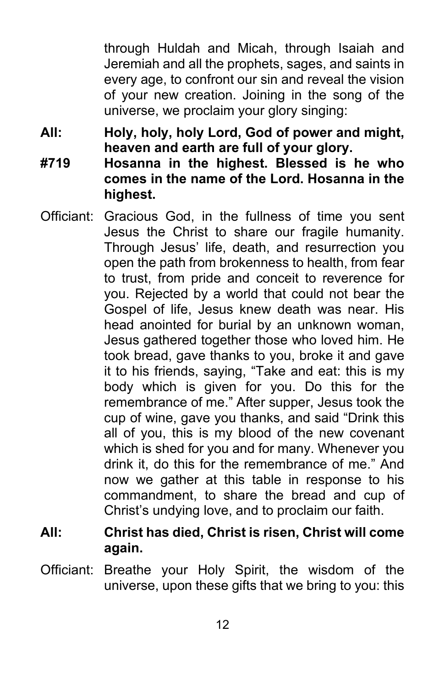through Huldah and Micah, through Isaiah and Jeremiah and all the prophets, sages, and saints in every age, to confront our sin and reveal the vision of your new creation. Joining in the song of the universe, we proclaim your glory singing:

**All: Holy, holy, holy Lord, God of power and might, heaven and earth are full of your glory.**

- **#719 Hosanna in the highest. Blessed is he who comes in the name of the Lord. Hosanna in the highest.**
- Officiant: Gracious God, in the fullness of time you sent Jesus the Christ to share our fragile humanity. Through Jesus' life, death, and resurrection you open the path from brokenness to health, from fear to trust, from pride and conceit to reverence for you. Rejected by a world that could not bear the Gospel of life, Jesus knew death was near. His head anointed for burial by an unknown woman, Jesus gathered together those who loved him. He took bread, gave thanks to you, broke it and gave it to his friends, saying, "Take and eat: this is my body which is given for you. Do this for the remembrance of me." After supper, Jesus took the cup of wine, gave you thanks, and said "Drink this all of you, this is my blood of the new covenant which is shed for you and for many. Whenever you drink it, do this for the remembrance of me." And now we gather at this table in response to his commandment, to share the bread and cup of Christ's undying love, and to proclaim our faith.
- **All: Christ has died, Christ is risen, Christ will come again.**
- Officiant: Breathe your Holy Spirit, the wisdom of the universe, upon these gifts that we bring to you: this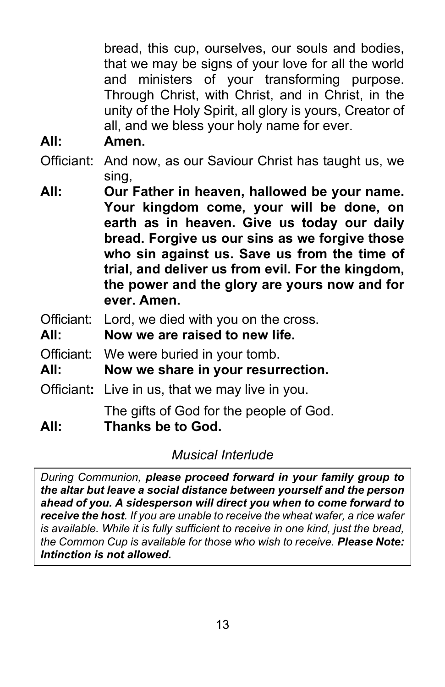bread, this cup, ourselves, our souls and bodies, that we may be signs of your love for all the world and ministers of your transforming purpose. Through Christ, with Christ, and in Christ, in the unity of the Holy Spirit, all glory is yours, Creator of all, and we bless your holy name for ever.

- **All: Amen.**
- Officiant: And now, as our Saviour Christ has taught us, we sing,
- **All: Our Father in heaven, hallowed be your name. Your kingdom come, your will be done, on earth as in heaven. Give us today our daily bread. Forgive us our sins as we forgive those who sin against us. Save us from the time of trial, and deliver us from evil. For the kingdom, the power and the glory are yours now and for ever. Amen.**
- Officiant: Lord, we died with you on the cross.
- **All: Now we are raised to new life.**
- Officiant: We were buried in your tomb.
- **All: Now we share in your resurrection.**
- Officiant**:** Live in us, that we may live in you.

The gifts of God for the people of God.

**All: Thanks be to God.**

# *Musical Interlude*

*During Communion, please proceed forward in your family group to the altar but leave a social distance between yourself and the person ahead of you. A sidesperson will direct you when to come forward to receive the host. If you are unable to receive the wheat wafer, a rice wafer is available. While it is fully sufficient to receive in one kind, just the bread, the Common Cup is available for those who wish to receive. Please Note: Intinction is not allowed.*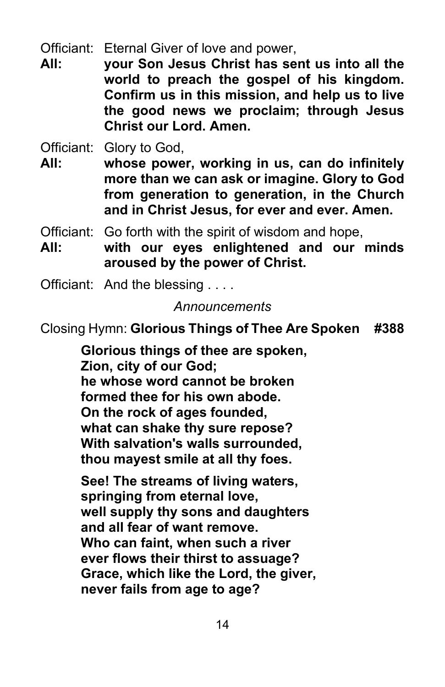Officiant: Eternal Giver of love and power,

**All: your Son Jesus Christ has sent us into all the world to preach the gospel of his kingdom. Confirm us in this mission, and help us to live the good news we proclaim; through Jesus Christ our Lord. Amen.**

Officiant: Glory to God,

**All: whose power, working in us, can do infinitely more than we can ask or imagine. Glory to God from generation to generation, in the Church and in Christ Jesus, for ever and ever. Amen.**

Officiant: Go forth with the spirit of wisdom and hope,

- **All: with our eyes enlightened and our minds aroused by the power of Christ.**
- Officiant: And the blessing . . . .

## *Announcements*

Closing Hymn: **Glorious Things of Thee Are Spoken #388**

**Glorious things of thee are spoken, Zion, city of our God; he whose word cannot be broken formed thee for his own abode. On the rock of ages founded, what can shake thy sure repose? With salvation's walls surrounded, thou mayest smile at all thy foes.**

**See! The streams of living waters, springing from eternal love, well supply thy sons and daughters and all fear of want remove. Who can faint, when such a river ever flows their thirst to assuage? Grace, which like the Lord, the giver, never fails from age to age?**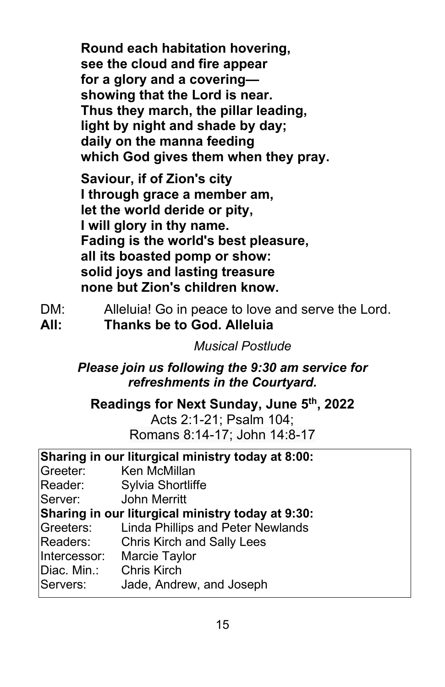**Round each habitation hovering, see the cloud and fire appear for a glory and a covering showing that the Lord is near. Thus they march, the pillar leading, light by night and shade by day; daily on the manna feeding which God gives them when they pray.**

**Saviour, if of Zion's city I through grace a member am, let the world deride or pity, I will glory in thy name. Fading is the world's best pleasure, all its boasted pomp or show: solid joys and lasting treasure none but Zion's children know.**

- DM: Alleluia! Go in peace to love and serve the Lord.
- **All: Thanks be to God. Alleluia**

*Musical Postlude*

*Please join us following the 9:30 am service for refreshments in the Courtyard.*

**Readings for Next Sunday, June 5th, 2022**

Acts 2:1-21; Psalm 104; Romans 8:14-17; John 14:8-17

| Sharing in our liturgical ministry today at 8:00: |  |  |  |  |
|---------------------------------------------------|--|--|--|--|
|---------------------------------------------------|--|--|--|--|

- Greeter: Ken McMillan
- Reader: Sylvia Shortliffe

Server: John Merritt

**Sharing in our liturgical ministry today at 9:30:**

- Greeters: Linda Phillips and Peter Newlands
- Readers: Chris Kirch and Sally Lees
- Intercessor: Marcie Taylor
- Diac. Min.: Chris Kirch
- Servers: Jade, Andrew, and Joseph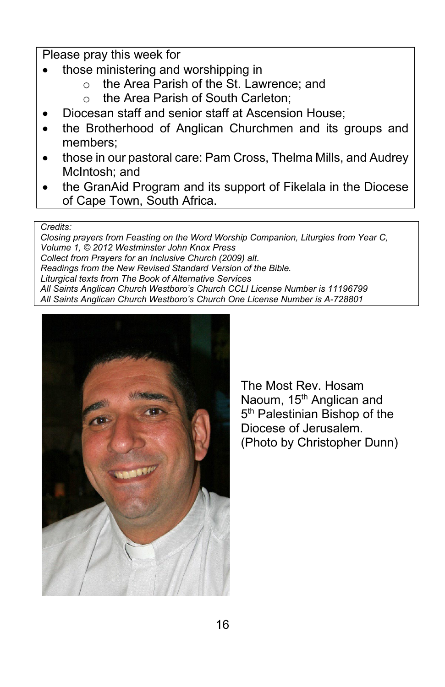#### Please pray this week for

- those ministering and worshipping in
	- the Area Parish of the St. Lawrence: and
	- o the Area Parish of South Carleton;
- Diocesan staff and senior staff at Ascension House;
- the Brotherhood of Anglican Churchmen and its groups and members;
- those in our pastoral care: Pam Cross, Thelma Mills, and Audrey McIntosh; and
- the GranAid Program and its support of Fikelala in the Diocese of Cape Town, South Africa.

#### *Credits:*

*Closing prayers from Feasting on the Word Worship Companion, Liturgies from Year C, Volume 1, © 2012 Westminster John Knox Press Collect from Prayers for an Inclusive Church (2009) alt. Readings from the New Revised Standard Version of the Bible. Liturgical texts from The Book of Alternative Services All Saints Anglican Church Westboro's Church CCLI License Number is 11196799 All Saints Anglican Church Westboro's Church One License Number is A-728801*



The Most Rev. Hosam Naoum, 15<sup>th</sup> Anglican and 5<sup>th</sup> Palestinian Bishop of the Diocese of Jerusalem. (Photo by Christopher Dunn)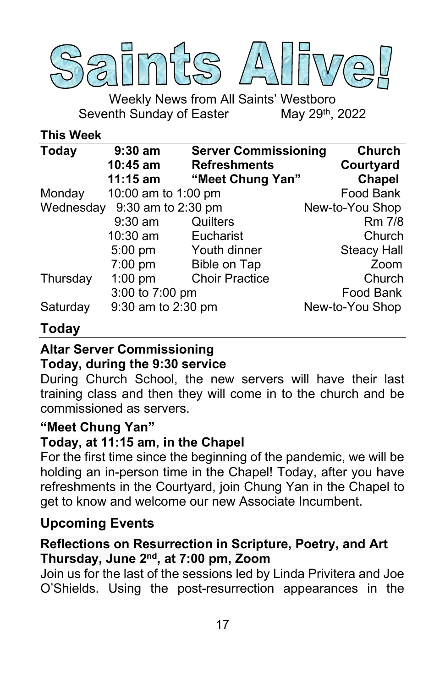

Weekly News from All Saints' Westboro Seventh Sunday of Easter May 29<sup>th</sup>, 2022

#### **This Week**

| <b>Today</b> | $9:30$ am                    | <b>Server Commissioning</b> | <b>Church</b>      |
|--------------|------------------------------|-----------------------------|--------------------|
|              | 10:45 am                     | <b>Refreshments</b>         | Courtyard          |
|              | $11:15$ am                   | "Meet Chung Yan"            | <b>Chapel</b>      |
| Monday       | 10:00 am to 1:00 pm          |                             | Food Bank          |
|              | Wednesday 9:30 am to 2:30 pm |                             | New-to-You Shop    |
|              | $9:30$ am                    | Quilters                    | Rm 7/8             |
|              | 10:30 am                     | Eucharist                   | Church             |
|              | 5:00 pm                      | Youth dinner                | <b>Steacy Hall</b> |
|              | $7:00$ pm                    | <b>Bible on Tap</b>         | Zoom               |
| Thursday     | $1:00$ pm                    | <b>Choir Practice</b>       | Church             |
|              | 3:00 to 7:00 pm              |                             | Food Bank          |
| Saturday     | 9:30 am to 2:30 pm           |                             | New-to-You Shop    |

## **Today**

### **Altar Server Commissioning**

#### **Today, during the 9:30 service**

During Church School, the new servers will have their last training class and then they will come in to the church and be commissioned as servers.

#### **"Meet Chung Yan"**

#### **Today, at 11:15 am, in the Chapel**

For the first time since the beginning of the pandemic, we will be holding an in-person time in the Chapel! Today, after you have refreshments in the Courtyard, join Chung Yan in the Chapel to get to know and welcome our new Associate Incumbent.

#### **Upcoming Events**

## **Reflections on Resurrection in Scripture, Poetry, and Art Thursday, June 2nd, at 7:00 pm, Zoom**

Join us for the last of the sessions led by Linda Privitera and Joe O'Shields. Using the post-resurrection appearances in the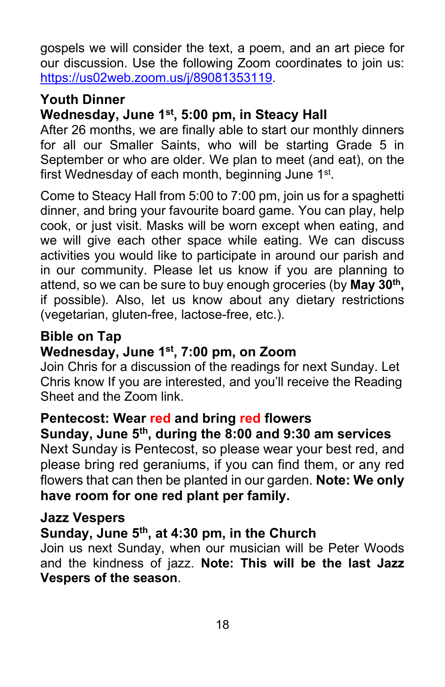gospels we will consider the text, a poem, and an art piece for our discussion. Use the following Zoom coordinates to join us: [https://us02web.zoom.us/j/89081353119.](https://us02web.zoom.us/j/89081353119)

# **Youth Dinner**

# **Wednesday, June 1st, 5:00 pm, in Steacy Hall**

After 26 months, we are finally able to start our monthly dinners for all our Smaller Saints, who will be starting Grade 5 in September or who are older. We plan to meet (and eat), on the first Wednesday of each month, beginning June 1<sup>st</sup>.

Come to Steacy Hall from 5:00 to 7:00 pm, join us for a spaghetti dinner, and bring your favourite board game. You can play, help cook, or just visit. Masks will be worn except when eating, and we will give each other space while eating. We can discuss activities you would like to participate in around our parish and in our community. Please let us know if you are planning to attend, so we can be sure to buy enough groceries (by **May 30th,** if possible). Also, let us know about any dietary restrictions (vegetarian, gluten-free, lactose-free, etc.).

# **Bible on Tap**

# **Wednesday, June 1st, 7:00 pm, on Zoom**

Join Chris for a discussion of the readings for next Sunday. Let Chris know If you are interested, and you'll receive the Reading Sheet and the Zoom link.

# **Pentecost: Wear red and bring red flowers**

**Sunday, June 5th, during the 8:00 and 9:30 am services** Next Sunday is Pentecost, so please wear your best red, and please bring red geraniums, if you can find them, or any red flowers that can then be planted in our garden. **Note: We only have room for one red plant per family.**

#### **Jazz Vespers**

# **Sunday, June 5th, at 4:30 pm, in the Church**

Join us next Sunday, when our musician will be Peter Woods and the kindness of jazz. **Note: This will be the last Jazz Vespers of the season**.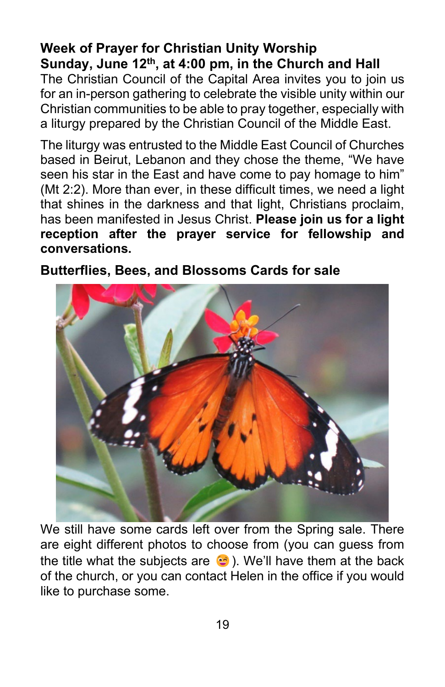# **Week of Prayer for Christian Unity Worship Sunday, June 12th, at 4:00 pm, in the Church and Hall**

The Christian Council of the Capital Area invites you to join us for an in-person gathering to celebrate the visible unity within our Christian communities to be able to pray together, especially with a liturgy prepared by the Christian Council of the Middle East.

The liturgy was entrusted to the Middle East Council of Churches based in Beirut, Lebanon and they chose the theme, "We have seen his star in the East and have come to pay homage to him" (Mt 2:2). More than ever, in these difficult times, we need a light that shines in the darkness and that light, Christians proclaim, has been manifested in Jesus Christ. **Please join us for a light reception after the prayer service for fellowship and conversations.**



**Butterflies, Bees, and Blossoms Cards for sale**

We still have some cards left over from the Spring sale. There are eight different photos to choose from (you can guess from the title what the subjects are  $\bullet$ ). We'll have them at the back of the church, or you can contact Helen in the office if you would like to purchase some.